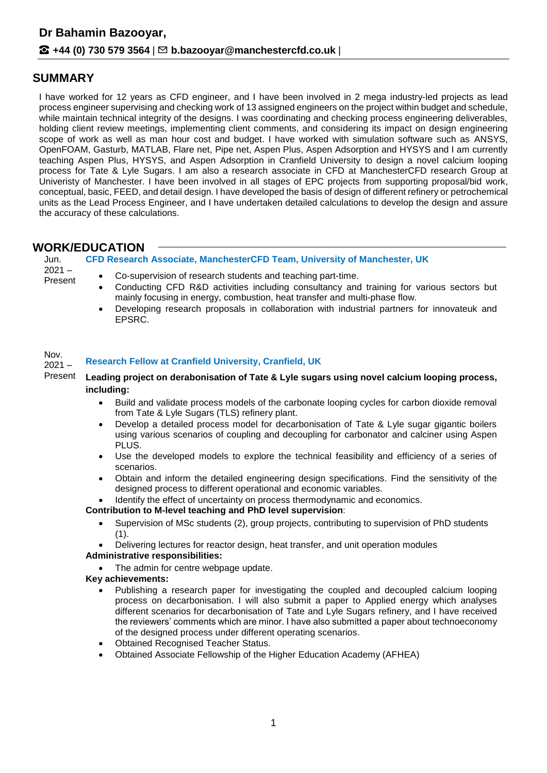# **SUMMARY**

I have worked for 12 years as CFD engineer, and I have been involved in 2 mega industry-led projects as lead process engineer supervising and checking work of 13 assigned engineers on the project within budget and schedule, while maintain technical integrity of the designs. I was coordinating and checking process engineering deliverables, holding client review meetings, implementing client comments, and considering its impact on design engineering scope of work as well as man hour cost and budget. I have worked with simulation software such as ANSYS, OpenFOAM, Gasturb, MATLAB, Flare net, Pipe net, Aspen Plus, Aspen Adsorption and HYSYS and I am currently teaching Aspen Plus, HYSYS, and Aspen Adsorption in Cranfield University to design a novel calcium looping process for Tate & Lyle Sugars. I am also a research associate in CFD at ManchesterCFD research Group at Univeristy of Manchester. I have been involved in all stages of EPC projects from supporting proposal/bid work, conceptual, basic, FEED, and detail design. I have developed the basis of design of different refinery or petrochemical units as the Lead Process Engineer, and I have undertaken detailed calculations to develop the design and assure the accuracy of these calculations.

# **WORK/EDUCATION**

|                             | יטולוטטערווטו                                                                                                                                                                                                                                                                                                                                                                                                                                                                                                |
|-----------------------------|--------------------------------------------------------------------------------------------------------------------------------------------------------------------------------------------------------------------------------------------------------------------------------------------------------------------------------------------------------------------------------------------------------------------------------------------------------------------------------------------------------------|
| Jun.<br>$2021 -$<br>Present | CFD Research Associate, ManchesterCFD Team, University of Manchester, UK                                                                                                                                                                                                                                                                                                                                                                                                                                     |
|                             | Co-supervision of research students and teaching part-time.<br>$\bullet$<br>Conducting CFD R&D activities including consultancy and training for various sectors but<br>$\bullet$<br>mainly focusing in energy, combustion, heat transfer and multi-phase flow.<br>Developing research proposals in collaboration with industrial partners for innovateuk and<br>$\bullet$<br>EPSRC.                                                                                                                         |
| Nov.<br>$2021 -$            | <b>Research Fellow at Cranfield University, Cranfield, UK</b>                                                                                                                                                                                                                                                                                                                                                                                                                                                |
| Present                     | Leading project on derabonisation of Tate & Lyle sugars using novel calcium looping process,<br>including:                                                                                                                                                                                                                                                                                                                                                                                                   |
|                             | Build and validate process models of the carbonate looping cycles for carbon dioxide removal<br>$\bullet$<br>from Tate & Lyle Sugars (TLS) refinery plant.                                                                                                                                                                                                                                                                                                                                                   |
|                             | Develop a detailed process model for decarbonisation of Tate & Lyle sugar gigantic boilers<br>$\bullet$<br>using various scenarios of coupling and decoupling for carbonator and calciner using Aspen<br>PLUS.                                                                                                                                                                                                                                                                                               |
|                             | Use the developed models to explore the technical feasibility and efficiency of a series of<br>$\bullet$<br>scenarios.                                                                                                                                                                                                                                                                                                                                                                                       |
|                             | Obtain and inform the detailed engineering design specifications. Find the sensitivity of the<br>$\bullet$<br>designed process to different operational and economic variables.                                                                                                                                                                                                                                                                                                                              |
|                             | Identify the effect of uncertainty on process thermodynamic and economics.<br>$\bullet$<br>Contribution to M-level teaching and PhD level supervision:                                                                                                                                                                                                                                                                                                                                                       |
|                             | Supervision of MSc students (2), group projects, contributing to supervision of PhD students<br>$\bullet$<br>(1).                                                                                                                                                                                                                                                                                                                                                                                            |
|                             | Delivering lectures for reactor design, heat transfer, and unit operation modules<br><b>Administrative responsibilities:</b>                                                                                                                                                                                                                                                                                                                                                                                 |
|                             | The admin for centre webpage update.                                                                                                                                                                                                                                                                                                                                                                                                                                                                         |
|                             | Key achievements:                                                                                                                                                                                                                                                                                                                                                                                                                                                                                            |
|                             | Publishing a research paper for investigating the coupled and decoupled calcium looping<br>process on decarbonisation. I will also submit a paper to Applied energy which analyses<br>different scenarios for decarbonisation of Tate and Lyle Sugars refinery, and I have received<br>the reviewers' comments which are minor. I have also submitted a paper about technoeconomy<br>of the designed process under different operating scenarios.<br><b>Obtained Recognised Teacher Status.</b><br>$\bullet$ |
|                             | Obtained Associate Fellowship of the Higher Education Asademy (AFHEA)                                                                                                                                                                                                                                                                                                                                                                                                                                        |

Obtained Associate Fellowship of the Higher Education Academy (AFHEA)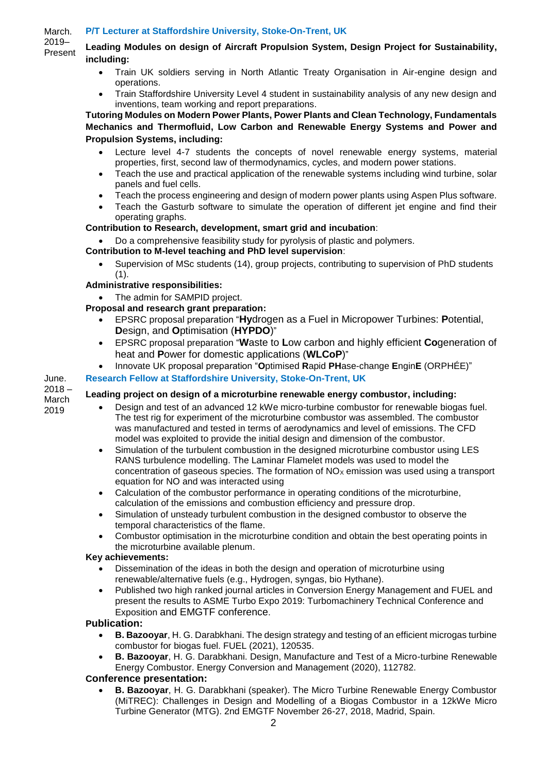#### March. **P/T Lecturer at Staffordshire University, Stoke-On-Trent, UK**

2019– Present

## **Leading Modules on design of Aircraft Propulsion System, Design Project for Sustainability, including:**

- Train UK soldiers serving in North Atlantic Treaty Organisation in Air-engine design and operations.
- Train Staffordshire University Level 4 student in sustainability analysis of any new design and inventions, team working and report preparations.

**Tutoring Modules on Modern Power Plants, Power Plants and Clean Technology, Fundamentals Mechanics and Thermofluid, Low Carbon and Renewable Energy Systems and Power and Propulsion Systems, including:**

- Lecture level 4-7 students the concepts of novel renewable energy systems, material properties, first, second law of thermodynamics, cycles, and modern power stations.
- Teach the use and practical application of the renewable systems including wind turbine, solar panels and fuel cells.
- Teach the process engineering and design of modern power plants using Aspen Plus software.
- Teach the Gasturb software to simulate the operation of different jet engine and find their operating graphs.

## **Contribution to Research, development, smart grid and incubation**:

Do a comprehensive feasibility study for pyrolysis of plastic and polymers.

## **Contribution to M-level teaching and PhD level supervision**:

 Supervision of MSc students (14), group projects, contributing to supervision of PhD students (1).

## **Administrative responsibilities:**

The admin for SAMPID project.

## **Proposal and research grant preparation:**

- EPSRC proposal preparation "**Hy**drogen as a Fuel in Micropower Turbines: **P**otential, **D**esign, and **O**ptimisation (**HYPDO**)"
- EPSRC proposal preparation "**W**aste to **L**ow carbon and highly efficient **Co**generation of heat and **P**ower for domestic applications (**WLCoP**)"
- Innovate UK proposal preparation "**O**ptimised **R**apid **PH**ase-change **E**ngin**E** (ORPHÉE)"

## **Research Fellow at Staffordshire University, Stoke-On-Trent, UK**

 $2018 -$ March 2019

June.

#### **Leading project on design of a microturbine renewable energy combustor, including:**

- Design and test of an advanced 12 kWe micro-turbine combustor for renewable biogas fuel. The test rig for experiment of the microturbine combustor was assembled. The combustor was manufactured and tested in terms of aerodynamics and level of emissions. The CFD model was exploited to provide the initial design and dimension of the combustor.
- Simulation of the turbulent combustion in the designed microturbine combustor using LES RANS turbulence modelling. The Laminar Flamelet models was used to model the concentration of gaseous species. The formation of  $NO<sub>X</sub>$  emission was used using a transport equation for NO and was interacted using
- Calculation of the combustor performance in operating conditions of the microturbine, calculation of the emissions and combustion efficiency and pressure drop.
- Simulation of unsteady turbulent combustion in the designed combustor to observe the temporal characteristics of the flame.
- Combustor optimisation in the microturbine condition and obtain the best operating points in the microturbine available plenum.

#### **Key achievements:**

- Dissemination of the ideas in both the design and operation of microturbine using renewable/alternative fuels (e.g., Hydrogen, syngas, bio Hythane).
- Published two high ranked journal articles in Conversion Energy Management and FUEL and present the results to ASME Turbo Expo 2019: Turbomachinery Technical Conference and Exposition and EMGTF conference.

#### **Publication:**

- **B. Bazooyar**, H. G. Darabkhani. The design strategy and testing of an efficient microgas turbine combustor for biogas fuel. FUEL (2021), 120535.
- **B. Bazooyar**, H. G. Darabkhani. Design, Manufacture and Test of a Micro-turbine Renewable Energy Combustor. Energy Conversion and Management (2020), 112782.

#### **Conference presentation:**

 **B. Bazooyar**, H. G. Darabkhani (speaker). The Micro Turbine Renewable Energy Combustor (MiTREC): Challenges in Design and Modelling of a Biogas Combustor in a 12kWe Micro Turbine Generator (MTG). 2nd EMGTF November 26-27, 2018, Madrid, Spain.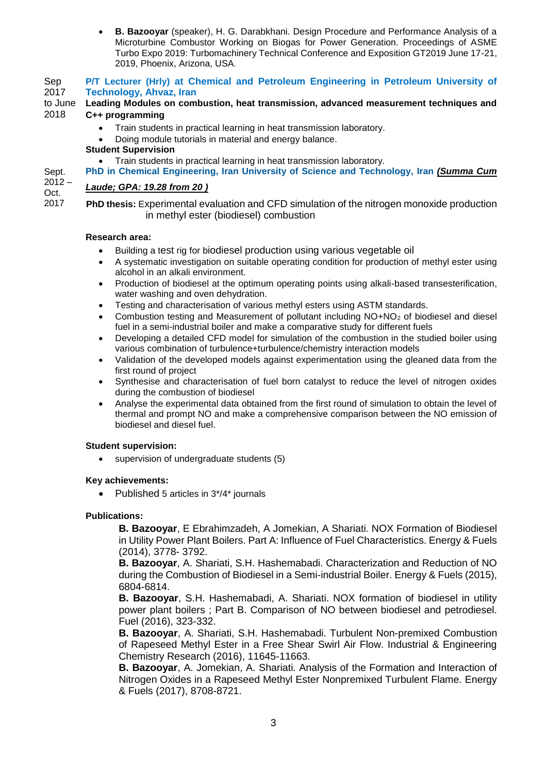**B. Bazooyar** (speaker), H. G. Darabkhani. Design Procedure and Performance Analysis of a Microturbine Combustor Working on Biogas for Power Generation. Proceedings of ASME Turbo Expo 2019: Turbomachinery Technical Conference and Exposition GT2019 June 17-21, 2019, Phoenix, Arizona, USA.

Sep 2017 to June **P/T Lecturer (Hrly) at Chemical and Petroleum Engineering in Petroleum University of Technology, Ahvaz, Iran Leading Modules on combustion, heat transmission, advanced measurement techniques and** 

#### 2018 **C++ programming**

- Train students in practical learning in heat transmission laboratory.
- Doing module tutorials in material and energy balance.

#### **Student Supervision**

- Train students in practical learning in heat transmission laboratory.
- **PhD in Chemical Engineering, Iran University of Science and Technology, Iran** *(Summa Cum*

#### $2012 -$ *Laude; GPA: 19.28 from 20 )*

Oct. 2017

Sept.

**PhD thesis:** Experimental evaluation and CFD simulation of the nitrogen monoxide production in methyl ester (biodiesel) combustion

#### **Research area:**

- Building a test rig for biodiesel production using various vegetable oil
- A systematic investigation on suitable operating condition for production of methyl ester using alcohol in an alkali environment.
- Production of biodiesel at the optimum operating points using alkali-based transesterification, water washing and oven dehydration.
- Testing and characterisation of various methyl esters using ASTM standards.
- Combustion testing and Measurement of pollutant including NO+NO<sup>2</sup> of biodiesel and diesel fuel in a semi-industrial boiler and make a comparative study for different fuels
- Developing a detailed CFD model for simulation of the combustion in the studied boiler using various combination of turbulence+turbulence/chemistry interaction models
- Validation of the developed models against experimentation using the gleaned data from the first round of project
- Synthesise and characterisation of fuel born catalyst to reduce the level of nitrogen oxides during the combustion of biodiesel
- Analyse the experimental data obtained from the first round of simulation to obtain the level of thermal and prompt NO and make a comprehensive comparison between the NO emission of biodiesel and diesel fuel.

#### **Student supervision:**

supervision of undergraduate students (5)

#### **Key achievements:**

Published 5 articles in 3\*/4\* journals

#### **Publications:**

**B. Bazooyar**, E Ebrahimzadeh, A Jomekian, A Shariati. NOX Formation of Biodiesel in Utility Power Plant Boilers. Part A: Influence of Fuel Characteristics. Energy & Fuels (2014), 3778- 3792.

**B. Bazooyar**, A. Shariati, S.H. Hashemabadi. Characterization and Reduction of NO during the Combustion of Biodiesel in a Semi-industrial Boiler. Energy & Fuels (2015), 6804-6814.

**B. Bazooyar**, S.H. Hashemabadi, A. Shariati. NOX formation of biodiesel in utility power plant boilers ; Part B. Comparison of NO between biodiesel and petrodiesel. Fuel (2016), 323-332.

**B. Bazooyar**, A. Shariati, S.H. Hashemabadi. Turbulent Non-premixed Combustion of Rapeseed Methyl Ester in a Free Shear Swirl Air Flow. Industrial & Engineering Chemistry Research (2016), 11645-11663.

**B. Bazooyar**, A. Jomekian, A. Shariati. Analysis of the Formation and Interaction of Nitrogen Oxides in a Rapeseed Methyl Ester Nonpremixed Turbulent Flame. Energy & Fuels (2017), 8708-8721.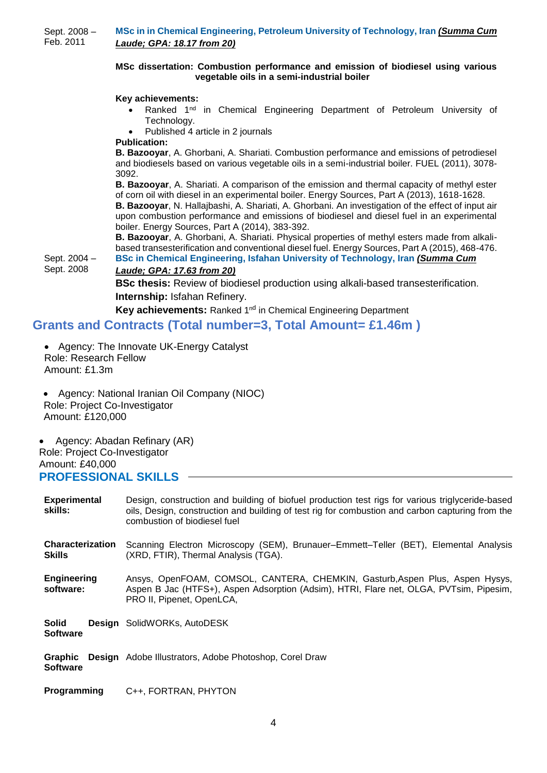Sept. 2008 – Feb. 2011 **MSc in in Chemical Engineering, Petroleum University of Technology, Iran** *(Summa Cum Laude; GPA: 18.17 from 20)*

#### **MSc dissertation: Combustion performance and emission of biodiesel using various vegetable oils in a semi-industrial boiler**

#### **Key achievements:**

- Ranked 1<sup>nd</sup> in Chemical Engineering Department of Petroleum University of Technology.
- Published 4 article in 2 journals
- **Publication:**

**B. Bazooyar**, A. Ghorbani, A. Shariati. Combustion performance and emissions of petrodiesel and biodiesels based on various vegetable oils in a semi-industrial boiler. FUEL (2011), 3078- 3092.

**B. Bazooyar**, A. Shariati. A comparison of the emission and thermal capacity of methyl ester of corn oil with diesel in an experimental boiler. Energy Sources, Part A (2013), 1618-1628. **B. Bazooyar**, N. Hallajbashi, A. Shariati, A. Ghorbani. An investigation of the effect of input air upon combustion performance and emissions of biodiesel and diesel fuel in an experimental boiler. Energy Sources, Part A (2014), 383-392.

**B. Bazooyar**, A. Ghorbani, A. Shariati. Physical properties of methyl esters made from alkalibased transesterification and conventional diesel fuel. Energy Sources, Part A (2015), 468-476. **BSc in Chemical Engineering, Isfahan University of Technology, Iran** *(Summa Cum* 

Sept. 2004 – Sept. 2008 *Laude; GPA: 17.63 from 20)*

> **BSc thesis:** Review of biodiesel production using alkali-based transesterification. **Internship:** Isfahan Refinery.

Key achievements: Ranked 1<sup>nd</sup> in Chemical Engineering Department

# **Grants and Contracts (Total number=3, Total Amount= £1.46m )**

- Agency: The Innovate UK-Energy Catalyst Role: Research Fellow Amount: £1.3m
- Agency: National Iranian Oil Company (NIOC) Role: Project Co-Investigator Amount: £120,000

 Agency: Abadan Refinary (AR) Role: Project Co-Investigator Amount: £40,000 **PROFESSIONAL SKILLS**

#### **Experimental skills:**  Design, construction and building of biofuel production test rigs for various triglyceride-based oils, Design, construction and building of test rig for combustion and carbon capturing from the combustion of biodiesel fuel **Characterization Skills** Scanning Electron Microscopy (SEM), Brunauer–Emmett–Teller (BET), Elemental Analysis (XRD, FTIR), Thermal Analysis (TGA). **Engineering software:** Ansys, OpenFOAM, COMSOL, CANTERA, CHEMKIN, Gasturb,Aspen Plus, Aspen Hysys, Aspen B Jac (HTFS+), Aspen Adsorption (Adsim), HTRI, Flare net, OLGA, PVTsim, Pipesim, PRO II, Pipenet, OpenLCA, **Solid Design**  SolidWORKs, AutoDESK **Software Graphic Design**  Adobe Illustrators, Adobe Photoshop, Corel Draw **Software Programming** C++, FORTRAN, PHYTON